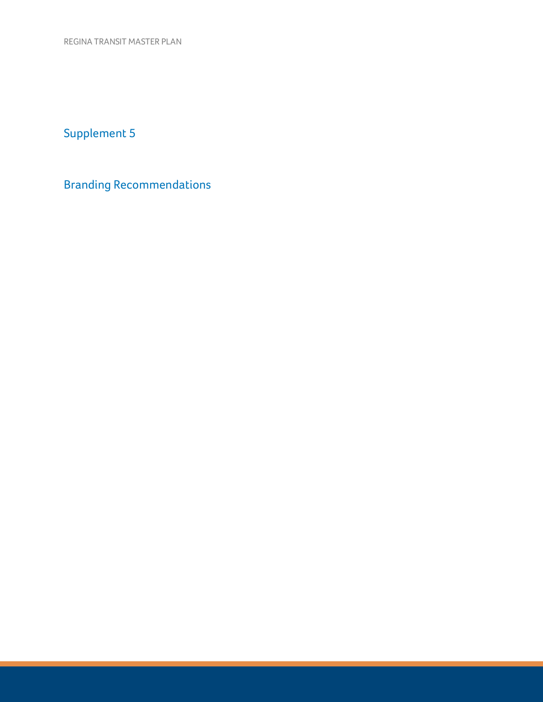REGINA TRANSIT MASTER PLAN

Supplement 5

Branding Recommendations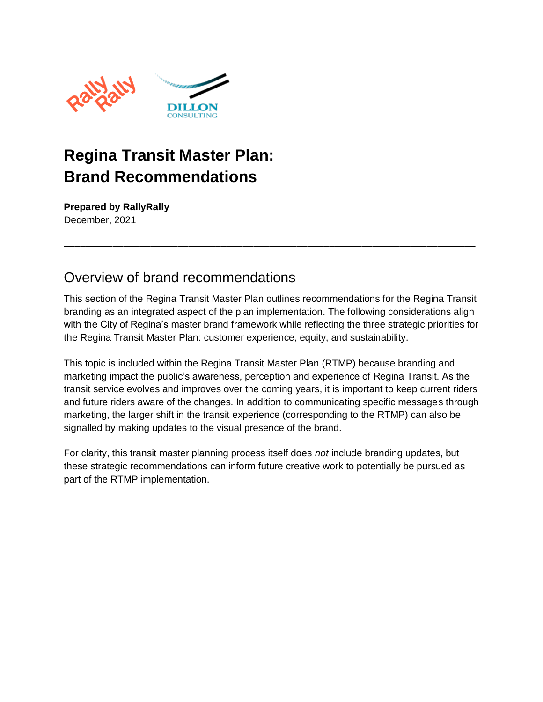

# **Regina Transit Master Plan: Brand Recommendations**

**Prepared by RallyRally** December, 2021

### Overview of brand recommendations

This section of the Regina Transit Master Plan outlines recommendations for the Regina Transit branding as an integrated aspect of the plan implementation. The following considerations align with the City of Regina's master brand framework while reflecting the three strategic priorities for the Regina Transit Master Plan: customer experience, equity, and sustainability.

––––––––––––––––––––––––––––––––––––––––––––––––––––––––––––––––––––––––––––

This topic is included within the Regina Transit Master Plan (RTMP) because branding and marketing impact the public's awareness, perception and experience of Regina Transit. As the transit service evolves and improves over the coming years, it is important to keep current riders and future riders aware of the changes. In addition to communicating specific messages through marketing, the larger shift in the transit experience (corresponding to the RTMP) can also be signalled by making updates to the visual presence of the brand.

For clarity, this transit master planning process itself does *not* include branding updates, but these strategic recommendations can inform future creative work to potentially be pursued as part of the RTMP implementation.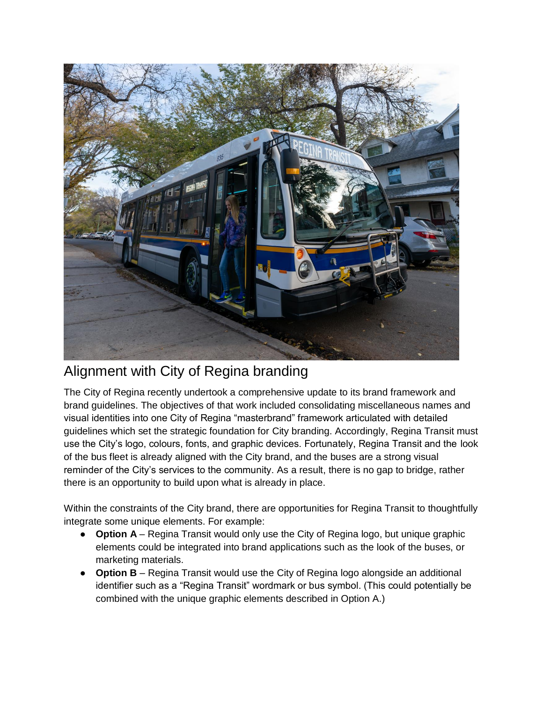

### Alignment with City of Regina branding

The City of Regina recently undertook a comprehensive update to its brand framework and brand guidelines. The objectives of that work included consolidating miscellaneous names and visual identities into one City of Regina "masterbrand" framework articulated with detailed guidelines which set the strategic foundation for City branding. Accordingly, Regina Transit must use the City's logo, colours, fonts, and graphic devices. Fortunately, Regina Transit and the look of the bus fleet is already aligned with the City brand, and the buses are a strong visual reminder of the City's services to the community. As a result, there is no gap to bridge, rather there is an opportunity to build upon what is already in place.

Within the constraints of the City brand, there are opportunities for Regina Transit to thoughtfully integrate some unique elements. For example:

- **Option A** Regina Transit would only use the City of Regina logo, but unique graphic elements could be integrated into brand applications such as the look of the buses, or marketing materials.
- **Option B** Regina Transit would use the City of Regina logo alongside an additional identifier such as a "Regina Transit" wordmark or bus symbol. (This could potentially be combined with the unique graphic elements described in Option A.)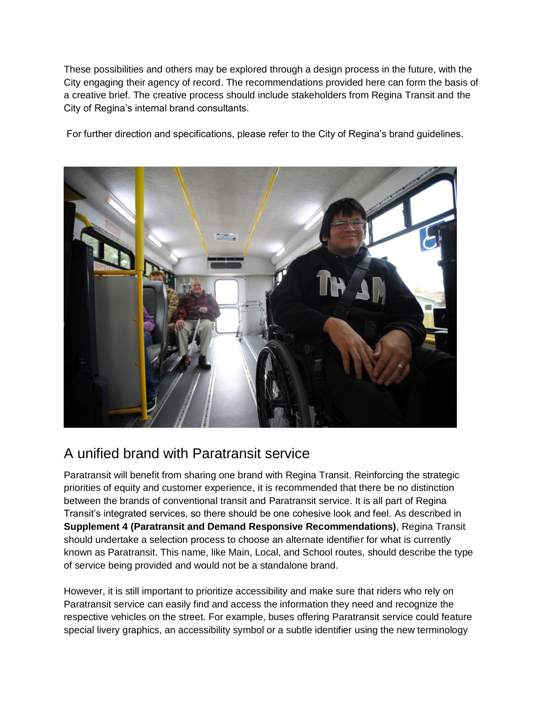These possibilities and others may be explored through a design process in the future, with the City engaging their agency of record. The recommendations provided here can form the basis of a creative brief. The creative process should include stakeholders from Regina Transit and the City of Regina's internal brand consultants.

For further direction and specifications, please refer to the City of Regina's brand guidelines.



### A unified brand with Paratransit service

Paratransit will benefit from sharing one brand with Regina Transit. Reinforcing the strategic priorities of equity and customer experience, it is recommended that there be no distinction between the brands of conventional transit and Paratransit service. It is all part of Regina Transit's integrated services, so there should be one cohesive look and feel. As described in **Supplement 4 (Paratransit and Demand Responsive Recommendations)**, Regina Transit should undertake a selection process to choose an alternate identifier for what is currently known as Paratransit. This name, like Main, Local, and School routes, should describe the type of service being provided and would not be a standalone brand.

However, it is still important to prioritize accessibility and make sure that riders who rely on Paratransit service can easily find and access the information they need and recognize the respective vehicles on the street. For example, buses offering Paratransit service could feature special livery graphics, an accessibility symbol or a subtle identifier using the new terminology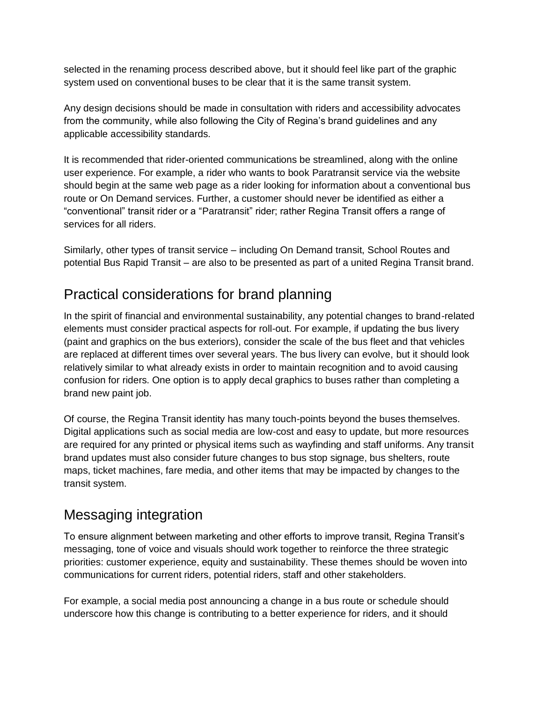selected in the renaming process described above, but it should feel like part of the graphic system used on conventional buses to be clear that it is the same transit system.

Any design decisions should be made in consultation with riders and accessibility advocates from the community, while also following the City of Regina's brand guidelines and any applicable accessibility standards.

It is recommended that rider-oriented communications be streamlined, along with the online user experience. For example, a rider who wants to book Paratransit service via the website should begin at the same web page as a rider looking for information about a conventional bus route or On Demand services. Further, a customer should never be identified as either a "conventional" transit rider or a "Paratransit" rider; rather Regina Transit offers a range of services for all riders.

Similarly, other types of transit service – including On Demand transit, School Routes and potential Bus Rapid Transit – are also to be presented as part of a united Regina Transit brand.

## Practical considerations for brand planning

In the spirit of financial and environmental sustainability, any potential changes to brand-related elements must consider practical aspects for roll-out. For example, if updating the bus livery (paint and graphics on the bus exteriors), consider the scale of the bus fleet and that vehicles are replaced at different times over several years. The bus livery can evolve, but it should look relatively similar to what already exists in order to maintain recognition and to avoid causing confusion for riders. One option is to apply decal graphics to buses rather than completing a brand new paint job.

Of course, the Regina Transit identity has many touch-points beyond the buses themselves. Digital applications such as social media are low-cost and easy to update, but more resources are required for any printed or physical items such as wayfinding and staff uniforms. Any transit brand updates must also consider future changes to bus stop signage, bus shelters, route maps, ticket machines, fare media, and other items that may be impacted by changes to the transit system.

# Messaging integration

To ensure alignment between marketing and other efforts to improve transit, Regina Transit's messaging, tone of voice and visuals should work together to reinforce the three strategic priorities: customer experience, equity and sustainability. These themes should be woven into communications for current riders, potential riders, staff and other stakeholders.

For example, a social media post announcing a change in a bus route or schedule should underscore how this change is contributing to a better experience for riders, and it should